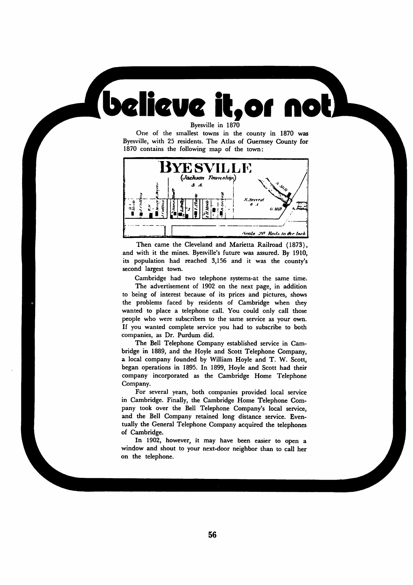Byesville in 1870

*believe it,of not*

One of the smallest towns in the county in 1870 was Byesville, with 25 residents. The Atlas of Guernsey County for 1870 contains the following map of the town:



Then came the Cleveland and Marietta Railroad (1873), and with it the mines. Byesville's future was assured. By 1910, its population had reached 3,156 and it was the county's second largest town.

Cambridge had two telephone systems-at the same time. The advertisement of 1902 on the next page, in addition to being of interest because of its prices and pictures, shows the problems faced by residents of Cambridge when they wanted to place a telephone call. You could only call those people who were subscribers to the same service as your own. If you wanted complete service you had to subscribe to both companies, as Dr. Purdum did.

The Bell Telephone Company established service in Cam bridge in 1889, and the Hoyle and Scott Telephone Company, a local company founded by William Hoyle and T. W. Scott, began operations in 1895. In 1899, Hoyle and Scott had their company incorporated as the Cambridge Home Telephone Company.

For several years, both companies provided local service in Cambridge. Finally, the Cambridge Home Telephone Com pany took over the Bell Telephone Company's local service, and the Bell Company retained long distance service. Even tually the General Telephone Company acquired the telephones of Cambridge.

In 1902, however, it may have been easier to open a window and shout to your next-door neighbor than to call her on the telephone.